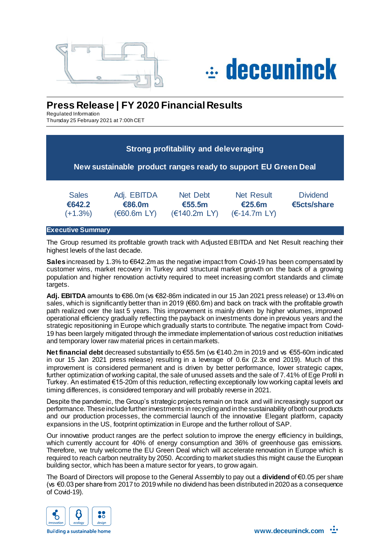



# **Press Release | FY 2020 Financial Results**

Regulated Information Thursday 25 February 2021 at 7:00h CET

|                                     |                                     | <b>Strong profitability and deleveraging</b><br>New sustainable product ranges ready to support EU Green Deal |                                                  |                                |
|-------------------------------------|-------------------------------------|---------------------------------------------------------------------------------------------------------------|--------------------------------------------------|--------------------------------|
| <b>Sales</b><br>€642.2<br>$(+1.3%)$ | Adj. EBITDA<br>€86.0m<br>(60.6m LY) | <b>Net Debt</b><br>€55.5m<br>(€140.2m LV)                                                                     | <b>Net Result</b><br>€25.6m<br>$(\in$ -14.7m LY) | <b>Dividend</b><br>€5cts/share |

## **Executive Summary**

The Group resumed its profitable growth track with Adjusted EBITDA and Net Result reaching their highest levels of the last decade.

**Sales** increased by 1.3% to €642.2m as the negative impact from Covid-19 has been compensated by customer wins, market recovery in Turkey and structural market growth on the back of a growing population and higher renovation activity required to meet increasing comfort standards and climate targets.

Adj. EBITDA amounts to €86.0m (vs €82-86m indicated in our 15 Jan 2021 press release) or 13.4% on sales, which is significantly better than in 2019 (€60.6m) and back on track with the profitable growth path realized over the last 5 years. This improvement is mainly driven by higher volumes, improved operational efficiency gradually reflecting the payback on investments done in previous years and the strategic repositioning in Europe which gradually starts to contribute. The negative impact from Covid-19 has been largely mitigated through the immediate implementation of various cost reduction initiatives and temporary lower raw material prices in certain markets.

**Net financial debt** decreased substantially to €55.5m (vs €140.2m in 2019 and vs €55-60m indicated in our 15 Jan 2021 press release) resulting in a leverage of 0.6x (2.3x end 2019). Much of this improvement is considered permanent and is driven by better performance, lower strategic capex, further optimization of working capital, the sale of unused assets and the sale of 7.41% of Ege Profil in Turkey. An estimated €15-20m of this reduction, reflecting exceptionally low working capital levels and timing differences, is considered temporary and will probably reverse in 2021.

Despite the pandemic, the Group's strategic projects remain on track and will increasingly support our performance. These include further investments in recycling and in the sustainability of both our products and our production processes, the commercial launch of the innovative Elegant platform, capacity expansions in the US, footprint optimization in Europe and the further rollout of SAP.

Our innovative product ranges are the perfect solution to improve the energy efficiency in buildings, which currently account for 40% of energy consumption and 36% of greenhouse gas emissions. Therefore, we truly welcome the EU Green Deal which will accelerate renovation in Europe which is required to reach carbon neutrality by 2050. According to market studies this might cause the European building sector, which has been a mature sector for years, to grow again.

The Board of Directors will propose to the General Assembly to pay out a **dividend** of €0.05 per share (vs €0.03 per share from 2017to 2019 while no dividend has been distributed in 2020 as a consequence of Covid-19).



**Building a sustainable home**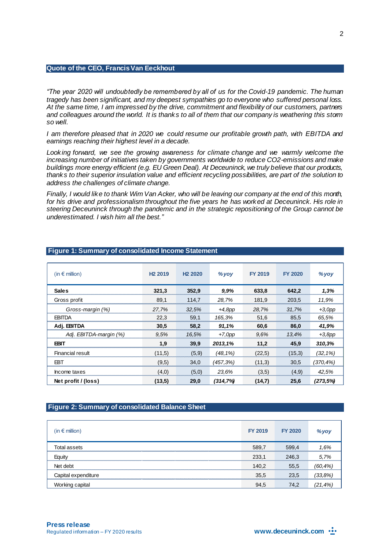### **Quote of the CEO, Francis Van Eeckhout**

*"The year 2020 will undoubtedly be remembered by all of us for the Covid-19 pandemic. The human tragedy has been significant, and my deepest sympathies go to everyone who suffered personal loss. At the same time, I am impressed by the drive, commitment and flexibility of our customers, partners and colleagues around the world. It is thanks to all of them that our company is weathering this storm so well.* 

*I am therefore pleased that in 2020 we could resume our profitable growth path, with EBITDA and earnings reaching their highest level in a decade.* 

Looking forward, we see the growing awareness for climate change and we warmly welcome the *increasing number of initiatives taken by governments worldwide to reduce CO2-emissions and make buildings more energy efficient (e.g. EU Green Deal). At Deceuninck, we truly believe that our products, thanks to their superior insulation value and efficient recycling possibilities, are part of the solution to address the challenges of climate change.*

*Finally, I would like to thank Wim Van Acker, who will be leaving our company at the end of this month,*  for his drive and professionalism throughout the five years he has worked at Deceuninck. His role in *steering Deceuninck through the pandemic and in the strategic repositioning of the Group cannot be underestimated. I wish him all the best."* 

| (in $\epsilon$ million) | H <sub>2</sub> 2019 | H <sub>2</sub> 2020 | $%$ yoy   | <b>FY 2019</b> | <b>FY 2020</b> | $%$ yoy      |
|-------------------------|---------------------|---------------------|-----------|----------------|----------------|--------------|
| <b>Sales</b>            | 321,3               | 352,9               | 9.9%      | 633,8          | 642,2          | 1,3%         |
| Gross profit            | 89.1                | 114,7               | 28,7%     | 181.9          | 203,5          | 11.9%        |
| Gross-margin (%)        | 27,7%               | 32,5%               | $+4,8pp$  | 28.7%          | 31.7%          | $+3,0$ pp    |
| <b>EBITDA</b>           | 22,3                | 59,1                | 165,3%    | 51,6           | 85,5           | 65,5%        |
| Adj. EBITDA             | 30,5                | 58,2                | 91,1%     | 60,6           | 86.0           | 41,9%        |
| Adj. EBITDA-margin (%)  | 9.5%                | 16.5%               | $+7,0$ pp | 9.6%           | 13.4%          | $+3,8pp$     |
| <b>EBIT</b>             | 1.9                 | 39,9                | 2013,1%   | 11,2           | 45,9           | 310,3%       |
| Financial result        | (11,5)              | (5,9)               | (48,1%)   | (22,5)         | (15,3)         | $(32, 1\%)$  |
| <b>FBT</b>              | (9,5)               | 34.0                | (457,3%)  | (11,3)         | 30,5           | $(370, 4\%)$ |
| Income taxes            | (4,0)               | (5,0)               | 23,6%     | (3,5)          | (4,9)          | 42,5%        |
| Net profit / (loss)     | (13,5)              | 29.0                | (314,7%)  | (14,7)         | 25.6           | (273,5%)     |

#### **Figure 1: Summary of consolidated Income Statement**

## **Figure 2: Summary of consolidated Balance Sheet**

| $(in \in m$ illion) | <b>FY 2019</b> | <b>FY 2020</b> | % voı       |
|---------------------|----------------|----------------|-------------|
| Total assets        | 589,7          | 599.4<br>      | 1.6%        |
| Eauitv              | 233.1          | 246.3          | 5.7%        |
| Net debt            | 140,2          | 55,5           | $(60, 4\%)$ |
| Capital expenditure | 35,5           | 23.5           | (33,8%)     |
| Working capital     | 94,5           | 74.2           | (21.4%.     |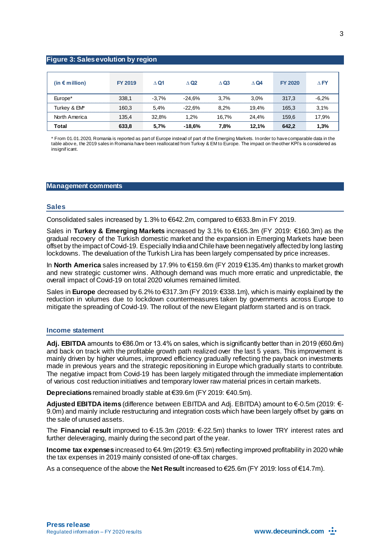## **Figure 3: Sales evolution by region**

| (in $\epsilon$ million) | FY 2019 | $\wedge$ Q1 | $\wedge$ Q <sub>2</sub> | $\Delta$ Q3 | $\wedge$ Q4 | <b>FY 2020</b> | $\wedge$ FY |
|-------------------------|---------|-------------|-------------------------|-------------|-------------|----------------|-------------|
| Europe*                 | 338,1   | $-3.7\%$    | $-24.6%$                | 3.7%        | 3.0%        | 317.3          | $-6.2%$     |
| Turkey & EM*            | 160.3   | 5.4%        | $-22.6%$                | 8.2%        | 19.4%       | 165.3          | 3.1%        |
| North America           | 135.4   | 32.8%       | 1.2%                    | 16.7%       | 24.4%       | 159,6          | 17,9%       |
| Total                   | 633,8   | 5,7%        | $-18.6%$                | 7.8%        | 12.1%       | 642.2          | 1.3%        |

\* From 01.01.2020, Romania is reported as part of Europe instead of part of the Emerging Markets. In order to have comparable data in the table abov e, the 2019 sales in Romania have been reallocated from Turkey & EM to Europe. The impact on the other KPI's is considered as insignificant.

#### **Management comments**

#### **Sales**

Consolidated sales increased by 1.3% to €642.2m, compared to €633.8m in FY 2019.

Sales in **Turkey & Emerging Markets** increased by 3.1% to €165.3m (FY 2019: €160.3m) as the gradual recovery of the Turkish domestic market and the expansion in Emerging Markets have been offset by the impact of Covid-19. Especially India and Chile have been negatively affected by long lasting lockdowns. The devaluation of the Turkish Lira has been largely compensated by price increases.

In **North America** sales increased by 17.9% to €159.6m (FY 2019 €135.4m) thanks to market growth and new strategic customer wins. Although demand was much more erratic and unpredictable, the overall impact of Covid-19 on total 2020 volumes remained limited.

Sales in **Europe** decreased by 6.2% to €317.3m (FY 2019: €338.1m), which is mainly explained by the reduction in volumes due to lockdown countermeasures taken by governments across Europe to mitigate the spreading of Covid-19. The rollout of the new Elegant platform started and is on track.

#### **Income statement**

**Adj. EBITDA** amounts to €86.0m or 13.4% on sales, which is significantly better than in 2019 (€60.6m) and back on track with the profitable growth path realized over the last 5 years. This improvement is mainly driven by higher volumes, improved efficiency gradually reflecting the payback on investments made in previous years and the strategic repositioning in Europe which gradually starts to contribute. The negative impact from Covid-19 has been largely mitigated through the immediate implementation of various cost reduction initiatives and temporary lower raw material prices in certain markets.

**Depreciations** remained broadly stable at €39.6m (FY 2019: €40.5m).

**Adjusted EBITDA items** (difference between EBITDA and Adj. EBITDA) amount to €-0.5m (2019: €- 9.0m) and mainly include restructuring and integration costs which have been largely offset by gains on the sale of unused assets.

The **Financial result** improved to €-15.3m (2019: €-22.5m) thanks to lower TRY interest rates and further deleveraging, mainly during the second part of the year.

**Income tax expenses** increased to €4.9m (2019: €3.5m) reflecting improved profitability in 2020 while the tax expenses in 2019 mainly consisted of one-off tax charges.

As a consequence of the above the **Net Result** increased to €25.6m (FY 2019: loss of €14.7m).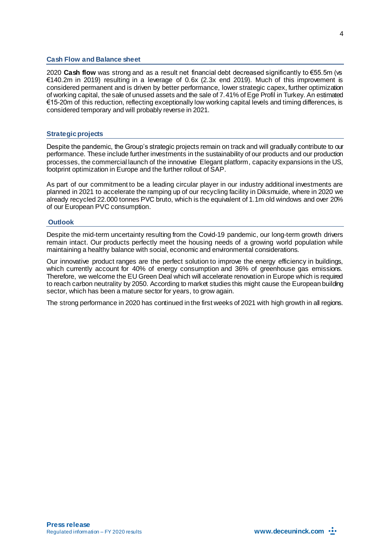#### **Cash Flow and Balance sheet**

2020 **Cash flow** was strong and as a result net financial debt decreased significantly to €55.5m (vs €140.2m in 2019) resulting in a leverage of 0.6x (2.3x end 2019). Much of this improvement is considered permanent and is driven by better performance, lower strategic capex, further optimization of working capital, the sale of unused assets and the sale of 7.41% of Ege Profil in Turkey. An estimated €15-20m of this reduction, reflecting exceptionally low working capital levels and timing differences, is considered temporary and will probably reverse in 2021.

#### **Strategic projects**

Despite the pandemic, the Group's strategic projects remain on track and will gradually contribute to our performance. These include further investments in the sustainability of our products and our production processes, the commercial launch of the innovative Elegant platform, capacity expansions in the US, footprint optimization in Europe and the further rollout of SAP.

As part of our commitment to be a leading circular player in our industry additional investments are planned in 2021 to accelerate the ramping up of our recycling facility in Diksmuide, where in 2020 we already recycled 22.000 tonnes PVC bruto, which is the equivalent of 1.1m old windows and over 20% of our European PVC consumption.

#### **Outlook**

Despite the mid-term uncertainty resulting from the Covid-19 pandemic, our long-term growth drivers remain intact. Our products perfectly meet the housing needs of a growing world population while maintaining a healthy balance with social, economic and environmental considerations.

Our innovative product ranges are the perfect solution to improve the energy efficiency in buildings, which currently account for 40% of energy consumption and 36% of greenhouse gas emissions. Therefore, we welcome the EU Green Deal which will accelerate renovation in Europe which is required to reach carbon neutrality by 2050. According to market studies this might cause the European building sector, which has been a mature sector for years, to grow again.

The strong performance in 2020 has continued in the first weeks of 2021 with high growth in all regions.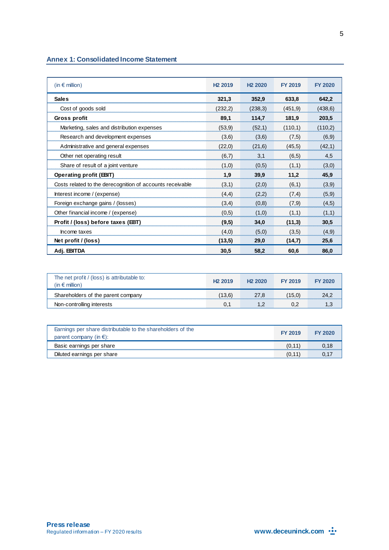## **Annex 1: Consolidated Income Statement**

| $(in \in$ million)                                        | H <sub>2</sub> 2019 | H <sub>2</sub> 2020 | <b>FY 2019</b> | <b>FY 2020</b> |
|-----------------------------------------------------------|---------------------|---------------------|----------------|----------------|
| <b>Sales</b>                                              | 321,3               | 352,9               | 633,8          | 642,2          |
| Cost of goods sold                                        | (232,2)             | (238,3)             | (451, 9)       | (438, 6)       |
| Gross profit                                              | 89,1                | 114,7               | 181,9          | 203,5          |
| Marketing, sales and distribution expenses                | (53, 9)             | (52,1)              | (110,1)        | (110,2)        |
| Research and development expenses                         | (3,6)               | (3,6)               | (7,5)          | (6, 9)         |
| Administrative and general expenses                       | (22,0)              | (21,6)              | (45, 5)        | (42,1)         |
| Other net operating result                                | (6,7)               | 3,1                 | (6, 5)         | 4,5            |
| Share of result of a joint venture                        | (1,0)               | (0,5)               | (1,1)          | (3,0)          |
| <b>Operating profit (EBIT)</b>                            | 1,9                 | 39,9                | 11,2           | 45,9           |
| Costs related to the derecognition of accounts receivable | (3,1)               | (2,0)               | (6,1)          | (3,9)          |
| Interest income / (expense)                               | (4,4)               | (2,2)               | (7,4)          | (5,9)          |
| Foreign exchange gains / (losses)                         | (3,4)               | (0,8)               | (7,9)          | (4,5)          |
| Other financial income / (expense)                        | (0,5)               | (1,0)               | (1,1)          | (1,1)          |
| Profit / (loss) before taxes (EBT)                        | (9,5)               | 34,0                | (11,3)         | 30,5           |
| Income taxes                                              | (4,0)               | (5,0)               | (3,5)          | (4,9)          |
| Net profit / (loss)                                       | (13,5)              | 29.0                | (14,7)         | 25,6           |
| Adj. EBITDA                                               | 30,5                | 58,2                | 60,6           | 86,0           |

| The net profit / (loss) is attributable to:<br>(in $\epsilon$ million) | H <sub>2</sub> 2019 | H <sub>2</sub> 2020 | FY 2019 | FY 2020 |
|------------------------------------------------------------------------|---------------------|---------------------|---------|---------|
| Shareholders of the parent company                                     | (13.6)              | 27.8                | (15.0)  |         |
| Non-controlling interests                                              |                     |                     |         |         |

| Earnings per share distributable to the shareholders of the<br>parent company (in $\epsilon$ ): | <b>FY 2019</b> | <b>EY 2020</b> |
|-------------------------------------------------------------------------------------------------|----------------|----------------|
| Basic earnings per share                                                                        |                |                |
| Diluted earnings per share                                                                      |                |                |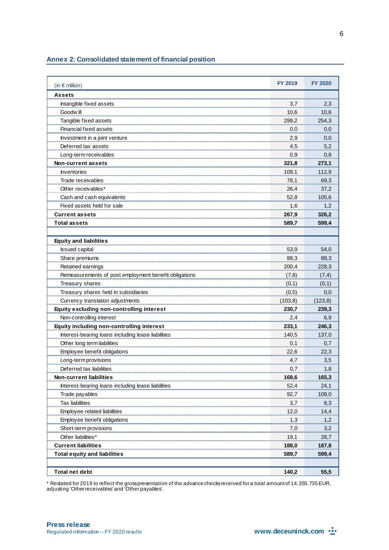#### **Annex 2: Consolidated statement of financial position**

| (in $\epsilon$ million)                               | <b>FY 2019</b> | <b>FY 2020</b> |
|-------------------------------------------------------|----------------|----------------|
| <b>Assets</b>                                         |                |                |
| Intangible fixed assets                               | 3,7            | 2,3            |
| Goodw ill                                             | 10,6           | 10,6           |
| Tangible fixed assets                                 | 299,2          | 254,3          |
| Financial fixed assets                                | 0,0            | 0,0            |
| Investment in a joint venture                         | 2,9            | 0,0            |
| Deferred tax assets                                   | 4,5            | 5,2            |
| Long-term receivables                                 | 0,9            | 0,8            |
| Non-current assets                                    | 321,8          | 273,1          |
| Inventories                                           | 109,1          | 112,9          |
| Trade receivables                                     | 78,1           | 69,3           |
| Other receivables*                                    | 26,4           | 37,2           |
| Cash and cash equivalents                             | 52,8           | 105,6          |
| Fixed assets held for sale                            | 1,6            | 1,2            |
| <b>Current assets</b>                                 | 267,9          | 326,2          |
| <b>Total assets</b>                                   | 589,7          | 599,4          |
|                                                       |                |                |
| <b>Equity and liabilities</b>                         |                |                |
| <b>Issued capital</b>                                 | 53.9           | 54,0           |
| Share premiums                                        | 88,3           | 88,3           |
| Retained earnings                                     | 200,4          | 228,3          |
| Remeasurements of post employment benefit obligations | (7, 6)         | (7, 4)         |
| Treasury shares                                       | (0,1)          | (0,1)          |
| Treasury shares held in subsidiaries                  | (0,5)          | 0,0            |
| Currency translation adjustments                      | (103, 8)       | (123, 8)       |
| Equity excluding non-controlling interest             | 230,7          | 239,3          |
| Non-controlling interest                              | 2,4            | 6,9            |
| Equity including non-controlling interest             | 233,1          | 246,3          |
| Interest-bearing loans including lease liabilities    | 140,5          | 137,0          |
| Other long term liabilities                           | 0,1            | 0,7            |
| Employee benefit obligations                          | 22,6           | 22.3           |
| Long-term provisions                                  | 4,7            | 3,5            |
| Deferred tax liabilities                              | 0,7            | 1,8            |
| <b>Non-current liabilities</b>                        | 168.6          | 165,3          |
| Interest-bearing loans including lease liabilities    | 52,4           | 24,1           |
| Trade payables                                        | 92,7           | 108,0          |
| <b>Tax liabilities</b>                                | 3,7            | 8,3            |
| Employee related liabilities                          | 12,0           | 14,4           |
| Employee benefit obligations                          | 1,3            | 1,2            |
| Short-term provisions                                 | 7,0            | 3,2            |
| Other liabilities*                                    | 19,1           | 28,7           |
| <b>Current liabilities</b>                            | 188,0          | 187,8          |
| <b>Total equity and liabilities</b>                   | 589,7          | 599,4          |
|                                                       |                |                |
| <b>Total net debt</b>                                 | 140,2          | 55,5           |

\* Restated for 2019 to reflect the gross presentation of the advance checks received for a total amount of 14.355.735 EUR, adjusting 'Other receivables' and 'Other payables'.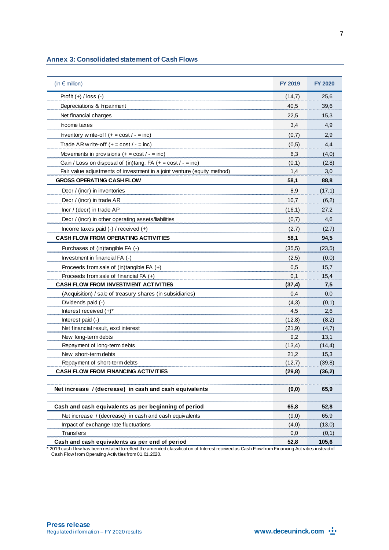## **Annex 3: Consolidated statement of Cash Flows**

| (in $\epsilon$ million)                                                 | <b>FY 2019</b> | <b>FY 2020</b> |
|-------------------------------------------------------------------------|----------------|----------------|
| Profit $(+)$ / loss $(-)$                                               | (14,7)         | 25,6           |
| Depreciations & Impairment                                              | 40,5           | 39,6           |
| Net financial charges                                                   | 22,5           | 15,3           |
| Income taxes                                                            | 3,4            | 4,9            |
| Inventory w rite-off $(+ = \text{cost}/ - = \text{inc})$                | (0,7)          | 2,9            |
| Trade AR w rite-off $(+ = \text{cost}/ - = \text{inc})$                 | (0,5)          | 4,4            |
| Movements in provisions $(+ = cost / - = inc)$                          | 6,3            | (4,0)          |
| Gain / Loss on disposal of (in)tang. FA $(+ = cost / - = inc)$          | (0,1)          | (2,8)          |
| Fair value adjustments of investment in a joint venture (equity method) | 1,4            | 3,0            |
| <b>GROSS OPERATING CASH FLOW</b>                                        | 58,1           | 88,8           |
| Decr / (incr) in inventories                                            | 8,9            | (17,1)         |
| Decr / (incr) in trade AR                                               | 10,7           | (6,2)          |
| Incr / (decr) in trade AP                                               | (16,1)         | 27,2           |
| Decr / (incr) in other operating assets/liabilities                     | (0,7)          | 4,6            |
| Income taxes paid $(-)$ / received $(+)$                                | (2,7)          | (2,7)          |
| <b>CASH FLOW FROM OPERATING ACTIVITIES</b>                              | 58,1           | 94,5           |
| Purchases of (in)tangible FA (-)                                        | (35, 5)        | (23,5)         |
| Investment in financial FA (-)                                          | (2,5)          | (0,0)          |
| Proceeds from sale of (in)tangible FA (+)                               | 0,5            | 15,7           |
| Proceeds from sale of financial FA (+)                                  | 0,1            | 15,4           |
| <b>CASH FLOW FROM INVESTMENT ACTIVITIES</b>                             | (37, 4)        | 7,5            |
| (Acquisition) / sale of treasury shares (in subsidiaries)               | 0,4            | 0,0            |
| Dividends paid (-)                                                      | (4,3)          | (0,1)          |
| Interest received (+)*                                                  | 4,5            | 2,6            |
| Interest paid (-)                                                       | (12,8)         | (8,2)          |
| Net financial result, excl interest                                     | (21, 9)        | (4,7)          |
| New long-term debts                                                     | 9,2            | 13,1           |
| Repayment of long-term debts                                            | (13,4)         | (14,4)         |
| New short-term debts                                                    | 21,2           | 15,3           |
| Repayment of short-term debts                                           | (12,7)         | (39, 8)        |
| <b>CASH FLOW FROM FINANCING ACTIVITIES</b>                              | (29, 8)        | (36,2)         |
| Net increase / (decrease) in cash and cash equivalents                  | (9, 0)         | 65,9           |
|                                                                         |                |                |
| Cash and cash equivalents as per beginning of period                    | 65,8           | 52,8           |
| Net increase / (decrease) in cash and cash equivalents                  | (9,0)          | 65,9           |
| Impact of exchange rate fluctuations                                    | (4,0)          | (13,0)         |
| Transfers                                                               | 0,0            | (0,1)          |
| Cash and cash equivalents as per end of period                          | 52,8           | 105,6          |

\* 2019 cash f low has been restated to reflect the amended classification of Interest received as Cash Flow from Financing Act ivities instead of Cash Flow f rom Operating Activities from 01.01.2020.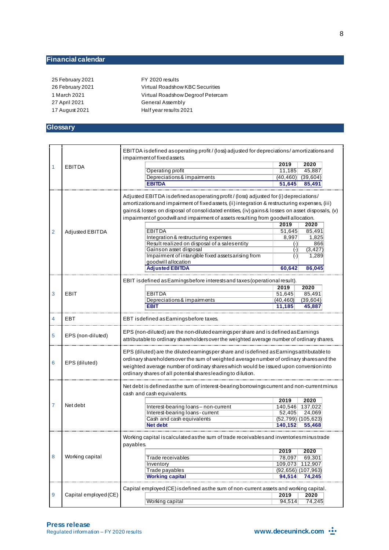## **Financial calendar**

25 February 2021 FY 2020 results 27 April 2021 General Assembly 17 August 2021 Half year results 2021

26 February 2021 Virtual Roadshow KBC Securities 1 March 2021 Virtual Roadshow Degroof Petercam

## **Glossary**

|   |                       | EBITDA is defined as operating profit / (loss) adjusted for depreciations / amortizations and<br>impairment of fixed assets.                                                                                                                                                                                                                                                                          |                      |                       |
|---|-----------------------|-------------------------------------------------------------------------------------------------------------------------------------------------------------------------------------------------------------------------------------------------------------------------------------------------------------------------------------------------------------------------------------------------------|----------------------|-----------------------|
|   |                       |                                                                                                                                                                                                                                                                                                                                                                                                       | 2019                 | 2020                  |
| 1 | <b>EBITDA</b>         | Operating profit                                                                                                                                                                                                                                                                                                                                                                                      | 11,185               | 45,887                |
|   |                       | Depreciations & impairments                                                                                                                                                                                                                                                                                                                                                                           | (40,460)             | (39,604)              |
|   |                       | <b>EBITDA</b>                                                                                                                                                                                                                                                                                                                                                                                         | 51,645               | 85,491                |
|   |                       |                                                                                                                                                                                                                                                                                                                                                                                                       |                      |                       |
| 2 | Adjusted EBITDA       | Adjusted EBITDA is defined as operating profit / (loss) adjusted for (i) depreciations/<br>amortizations and impairment of fixed assets, (ii) integration & restructuring expenses, (iii)<br>gains & losses on disposal of consolidated entities, (iv) gains & losses on asset disposals, (v)<br>impairment of goodwill and impairment of assets resulting from goodwill allocation.<br><b>EBITDA</b> | 2019<br>51,645       | 2020<br>85,491        |
|   |                       | Integration & restructuring expenses                                                                                                                                                                                                                                                                                                                                                                  | 8,997                | 1,825                 |
|   |                       | Result realized on disposal of a sales entity                                                                                                                                                                                                                                                                                                                                                         |                      | 866                   |
|   |                       | Gainson asset disposal                                                                                                                                                                                                                                                                                                                                                                                | $(\cdot)$            | (3, 427)              |
|   |                       |                                                                                                                                                                                                                                                                                                                                                                                                       | $(\cdot)$            |                       |
|   |                       | Impairment of intangible fixed assets arising from                                                                                                                                                                                                                                                                                                                                                    | $(\cdot)$            | 1,289                 |
|   |                       | goodwill allocation<br><b>Adjusted EBITDA</b>                                                                                                                                                                                                                                                                                                                                                         |                      |                       |
|   |                       |                                                                                                                                                                                                                                                                                                                                                                                                       | 60,642               | 86,045                |
|   |                       | EBIT is defined as Earnings before interests and taxes (operational result).                                                                                                                                                                                                                                                                                                                          |                      |                       |
|   |                       |                                                                                                                                                                                                                                                                                                                                                                                                       | 2019                 | 2020                  |
| 3 | EBIT                  | <b>EBITDA</b>                                                                                                                                                                                                                                                                                                                                                                                         | 51,645               | 85,491                |
|   |                       | Depreciations & impairments                                                                                                                                                                                                                                                                                                                                                                           | (40, 460)            | (39, 604)             |
|   |                       | EBIT                                                                                                                                                                                                                                                                                                                                                                                                  | 11,185               | 45.887                |
| 4 | EBT                   | EBT isdefined as Earningsbefore taxes.                                                                                                                                                                                                                                                                                                                                                                |                      |                       |
| 5 | EPS (non-diluted)     | EPS (non-diluted) are the non-diluted earningsper share and is defined as Earnings<br>attributable to ordinary shareholders over the weighted average number of ordinary shares.                                                                                                                                                                                                                      |                      |                       |
| 6 | EPS (diluted)         | EPS (diluted) are the diluted earningsper share and is defined as Earnings attributable to<br>ordinary shareholders over the sum of weighted average number of ordinary shares and the<br>weighted average number of ordinary shares which would be issued upon conversion into<br>ordinary shares of all potential shares leading to dilution.                                                       |                      |                       |
|   |                       | Net debt is defined as the sum of interest-bearing borrowings current and non-current minus                                                                                                                                                                                                                                                                                                           |                      |                       |
|   |                       | cash and cash equivalents.                                                                                                                                                                                                                                                                                                                                                                            |                      |                       |
| 7 | Net debt              |                                                                                                                                                                                                                                                                                                                                                                                                       | 2019                 | 2020                  |
|   |                       | Interest-bearing loans-non-current                                                                                                                                                                                                                                                                                                                                                                    | 140,546              | 137,022               |
|   |                       | Interest-bearing loans-current                                                                                                                                                                                                                                                                                                                                                                        | 52,405               | 24,069                |
|   |                       | Cash and cash equivalents                                                                                                                                                                                                                                                                                                                                                                             |                      | $(52, 799)$ (105,623) |
|   |                       | <b>Net debt</b>                                                                                                                                                                                                                                                                                                                                                                                       | 140,152              | 55,468                |
|   |                       | Working capital is calculated as the sum of trade receivables and inventories minustrade<br>payables.                                                                                                                                                                                                                                                                                                 |                      |                       |
| 8 | Working capital       |                                                                                                                                                                                                                                                                                                                                                                                                       | 2019                 | 2020                  |
|   |                       | Trade receivables                                                                                                                                                                                                                                                                                                                                                                                     | 78,097               | 69,301                |
|   |                       | Inventory                                                                                                                                                                                                                                                                                                                                                                                             | 109,073 112,907      |                       |
|   |                       | Trade payables                                                                                                                                                                                                                                                                                                                                                                                        | $(92,656)$ (107,963) |                       |
|   |                       | <b>Working capital</b>                                                                                                                                                                                                                                                                                                                                                                                | 94,514               | 74,245                |
|   |                       | Capital employed (CE) is defined as the sum of non-current assets and working capital.                                                                                                                                                                                                                                                                                                                |                      |                       |
|   |                       |                                                                                                                                                                                                                                                                                                                                                                                                       |                      |                       |
| 9 | Capital employed (CE) |                                                                                                                                                                                                                                                                                                                                                                                                       | 2019                 | 2020                  |
|   |                       | Working capital                                                                                                                                                                                                                                                                                                                                                                                       | 94.514               | 74,245                |